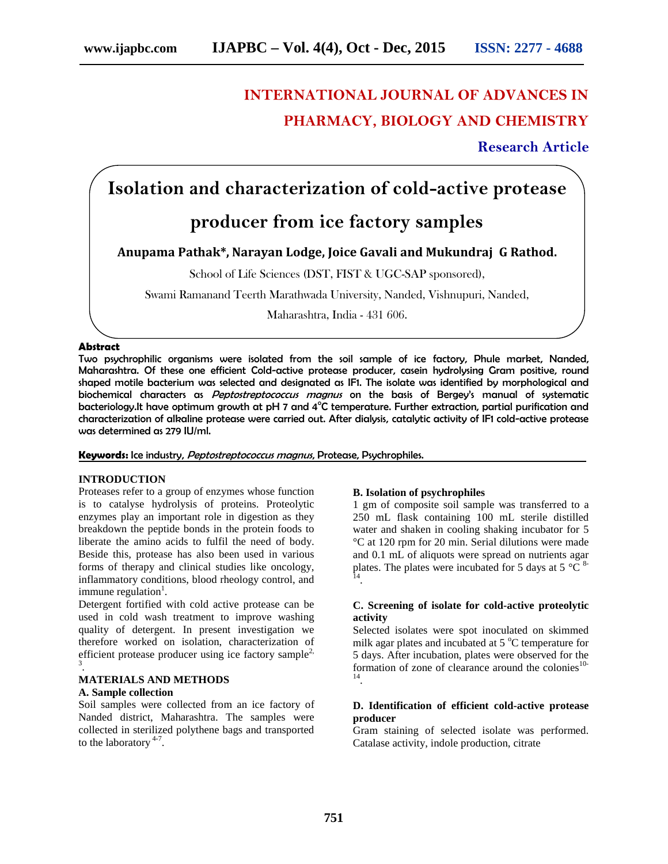# **INTERNATIONAL JOURNAL OF ADVANCES IN PHARMACY, BIOLOGY AND CHEMISTRY**

**Research Article**

## **Isolation and characterization of cold-active protease**

## **producer from ice factory samples**

## **Anupama Pathak\*, Narayan Lodge, Joice Gavali and Mukundraj G Rathod.**

School of Life Sciences (DST, FIST & UGC-SAP sponsored),

Swami Ramanand Teerth Marathwada University, Nanded, Vishnupuri, Nanded,

Maharashtra, India - 431 606.

## **Abstract**

Two psychrophilic organisms were isolated from the soil sample of ice factory, Phule market, Nanded, Maharashtra. Of these one efficient Cold-active protease producer, casein hydrolysing Gram positive, round shaped motile bacterium was selected and designated as IF1. The isolate was identified by morphological and biochemical characters as *Peptostreptococcus magnus* on the basis of Bergey's manual of systematic bacteriology.It have optimum growth at pH 7 and 4°C temperature. Further extraction, partial purification and characterization of alkaline protease were carried out. After dialysis, catalytic activity of IF1 cold-active protease was determined as 279 IU/ml.

#### **Keywords:** Ice industry, *Peptostreptococcus magnus*, Protease, Psychrophiles.

## **INTRODUCTION**

Proteases refer to a group of enzymes whose function is to catalyse hydrolysis of proteins. Proteolytic enzymes play an important role in digestion as they breakdown the peptide bonds in the protein foods to liberate the amino acids to fulfil the need of body. Beside this, protease has also been used in various forms of therapy and clinical studies like oncology, inflammatory conditions, blood rheology control, and immune regulation $<sup>1</sup>$ .</sup>

Detergent fortified with cold active protease can be used in cold wash treatment to improve washing quality of detergent. In present investigation we therefore worked on isolation, characterization of efficient protease producer using ice factory sample<sup>2,</sup> .

## **MATERIALS AND METHODS**

#### **A. Sample collection**

Soil samples were collected from an ice factory of Nanded district, Maharashtra. The samples were collected in sterilized polythene bags and transported to the laboratory  $4-7$ .

#### **B. Isolation of psychrophiles**

1 gm of composite soil sample was transferred to a 250 mL flask containing 100 mL sterile distilled water and shaken in cooling shaking incubator for 5 °C at 120 rpm for 20 min. Serial dilutions were made and 0.1 mL of aliquots were spread on nutrients agar plates. The plates were incubated for 5 days at 5  $^{\circ}$ C  $^{\circ}$ -.

## **C. Screening of isolate for cold-active proteolytic activity**

Selected isolates were spot inoculated on skimmed milk agar plates and incubated at  $5^{\circ}$ C temperature for 5 days. After incubation, plates were observed for the formation of zone of clearance around the colonies $10-$ .

#### **D. Identification of efficient cold-active protease producer**

Gram staining of selected isolate was performed. Catalase activity, indole production, citrate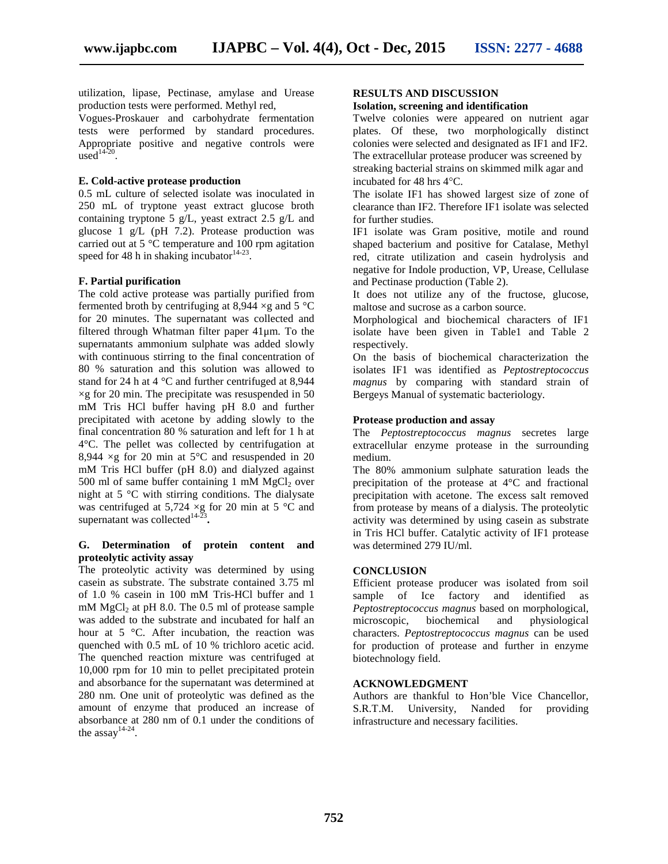utilization, lipase, Pectinase, amylase and Urease production tests were performed. Methyl red,

Vogues-Proskauer and carbohydrate fermentation tests were performed by standard procedures. Appropriate positive and negative controls were  $used^{14-20}$ .

#### **E. Cold-active protease production**

0.5 mL culture of selected isolate was inoculated in 250 mL of tryptone yeast extract glucose broth containing tryptone 5 g/L, yeast extract 2.5 g/L and glucose 1 g/L (pH 7.2). Protease production was carried out at 5 °C temperature and 100 rpm agitation speed for 48 h in shaking incubator<sup>14-23</sup>.

#### **F. Partial purification**

The cold active protease was partially purified from fermented broth by centrifuging at 8,944  $\times$ g and 5 °C for 20 minutes. The supernatant was collected and filtered through Whatman filter paper 41μm. To the supernatants ammonium sulphate was added slowly with continuous stirring to the final concentration of 80 % saturation and this solution was allowed to stand for 24 h at 4 °C and further centrifuged at 8,944  $\times$ g for 20 min. The precipitate was resuspended in 50 mM Tris HCl buffer having pH 8.0 and further precipitated with acetone by adding slowly to the final concentration 80 % saturation and left for 1 h at 4°C. The pellet was collected by centrifugation at 8,944  $\times$ g for 20 min at 5°C and resuspended in 20 mM Tris HCl buffer (pH 8.0) and dialyzed against 500 ml of same buffer containing 1 mM  $MgCl<sub>2</sub>$  over night at 5 °C with stirring conditions. The dialysate was centrifuged at 5,724  $\times g$  for 20 min at 5 °C and supernatant was collected<sup>14-2</sup> **.**

#### **G. Determination of protein content and proteolytic activity assay**

The proteolytic activity was determined by using casein as substrate. The substrate contained 3.75 ml of 1.0 % casein in 100 mM Tris-HCl buffer and 1 mM  $MgCl<sub>2</sub>$  at pH 8.0. The 0.5 ml of protease sample was added to the substrate and incubated for half an hour at 5 °C. After incubation, the reaction was quenched with 0.5 mL of 10 % trichloro acetic acid. The quenched reaction mixture was centrifuged at 10,000 rpm for 10 min to pellet precipitated protein and absorbance for the supernatant was determined at 280 nm. One unit of proteolytic was defined as the amount of enzyme that produced an increase of absorbance at 280 nm of 0.1 under the conditions of the assay<sup>14-24</sup>.

## **RESULTS AND DISCUSSION**

#### **Isolation, screening and identification**

Twelve colonies were appeared on nutrient agar plates. Of these, two morphologically distinct colonies were selected and designated as IF1 and IF2. The extracellular protease producer was screened by streaking bacterial strains on skimmed milk agar and incubated for 48 hrs  $4^{\circ}$ C.

The isolate IF1 has showed largest size of zone of clearance than IF2. Therefore IF1 isolate was selected for further studies.

IF1 isolate was Gram positive, motile and round shaped bacterium and positive for Catalase, Methyl red, citrate utilization and casein hydrolysis and negative for Indole production, VP, Urease, Cellulase and Pectinase production (Table 2).

It does not utilize any of the fructose, glucose, maltose and sucrose as a carbon source.

Morphological and biochemical characters of IF1 isolate have been given in Table1 and Table 2 respectively.

On the basis of biochemical characterization the isolates IF1 was identified as *Peptostreptococcus magnus* by comparing with standard strain of Bergeys Manual of systematic bacteriology.

#### **Protease production and assay**

The *Peptostreptococcus magnus* secretes large extracellular enzyme protease in the surrounding medium.

The 80% ammonium sulphate saturation leads the precipitation of the protease at 4°C and fractional precipitation with acetone. The excess salt removed from protease by means of a dialysis. The proteolytic activity was determined by using casein as substrate in Tris HCl buffer. Catalytic activity of IF1 protease was determined 279 IU/ml.

## **CONCLUSION**

Efficient protease producer was isolated from soil<br>sample of Ice factory and identified as sample of Ice factory and *Peptostreptococcus magnus* based on morphological, microscopic, biochemical and physiological characters. *Peptostreptococcus magnus* can be used for production of protease and further in enzyme biotechnology field.

#### **ACKNOWLEDGMENT**

Authors are thankful to Hon'ble Vice Chancellor, S.R.T.M. University, Nanded for providing infrastructure and necessary facilities.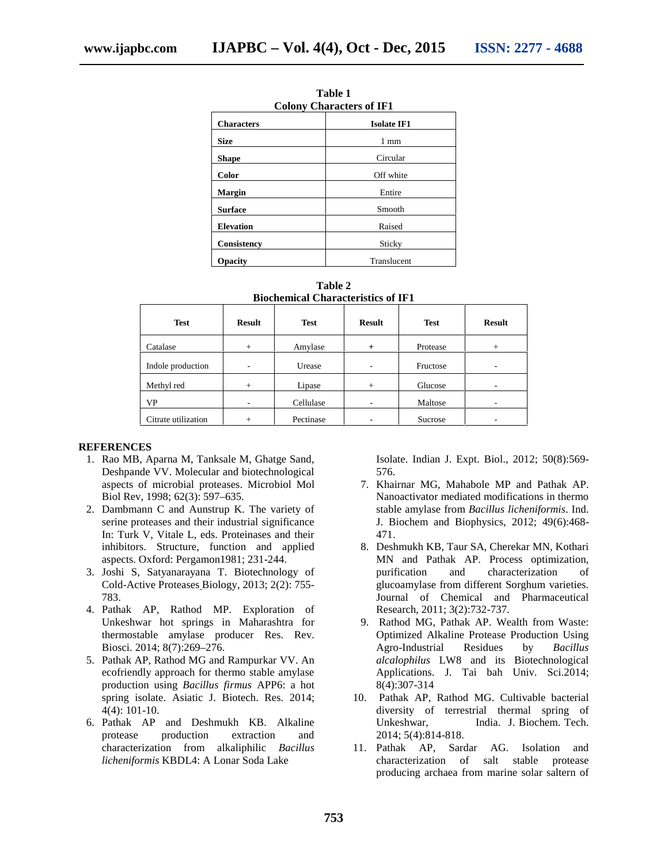| танг т                          |                               |  |  |  |
|---------------------------------|-------------------------------|--|--|--|
| <b>Colony Characters of IF1</b> |                               |  |  |  |
| <b>Characters</b>               | <b>Isolate IF1</b>            |  |  |  |
| <b>Size</b>                     | 1 mm                          |  |  |  |
| <b>Shape</b>                    | Circular                      |  |  |  |
| Color                           | Off white<br>Entire<br>Smooth |  |  |  |
| <b>Margin</b>                   |                               |  |  |  |
| <b>Surface</b>                  |                               |  |  |  |
| <b>Elevation</b>                | Raised                        |  |  |  |
| Consistency                     | Sticky                        |  |  |  |
| <b>Opacity</b>                  | Translucent                   |  |  |  |

**Table 1**

**Table 2 Biochemical Characteristics of IF1**

| <b>Test</b>         | <b>Result</b> | <b>Test</b> | <b>Result</b> | <b>Test</b> | <b>Result</b> |
|---------------------|---------------|-------------|---------------|-------------|---------------|
| Catalase            | $+$           | Amylase     | $+$           | Protease    | $^{+}$        |
| Indole production   | ۰             | Urease      | ٠             | Fructose    | ۰             |
| Methyl red          | $+$           | Lipase      | $^{+}$        | Glucose     | ۰             |
| <b>VP</b>           | ۰             | Cellulase   | -             | Maltose     | ۰             |
| Citrate utilization | $^{+}$        | Pectinase   |               | Sucrose     | ۰             |

#### **REFERENCES**

- 1. Rao MB, Aparna M, Tanksale M, Ghatge Sand, Deshpande VV. Molecular and biotechnological aspects of microbial proteases. Microbiol Mol Biol Rev, 1998; 62(3): 597–635*.*
- 2. Dambmann C and Aunstrup K. The variety of serine proteases and their industrial significance In: Turk V, Vitale L, eds. Proteinases and their inhibitors. Structure, function and applied aspects. Oxford: Pergamon1981; 231-244.
- 3. Joshi S, Satyanarayana T. Biotechnology of Cold-Active Proteases Biology, 2013; 2(2): 755- 783.
- 4. Pathak AP, Rathod MP. Exploration of Unkeshwar hot springs in Maharashtra for thermostable amylase producer Res. Rev. Biosci. 2014; 8(7):269–276.
- 5. Pathak AP, Rathod MG and Rampurkar VV. An ecofriendly approach for thermo stable amylase production using *Bacillus firmus* APP6: a hot spring isolate. Asiatic J. Biotech. Res. 2014; 4(4): 101-10.
- 6. Pathak AP and Deshmukh KB. Alkaline protease production extraction and characterization from alkaliphilic *Bacillus licheniformis* KBDL4: A Lonar Soda Lake

Isolate. Indian J. Expt. Biol., 2012; 50(8):569- 576.

- 7. Khairnar MG, Mahabole MP and Pathak AP. Nanoactivator mediated modifications in thermo stable amylase from *Bacillus licheniformis*. Ind. J. Biochem and Biophysics, 2012; 49(6):468- 471.
- 8. Deshmukh KB, Taur SA, Cherekar MN, Kothari MN and Pathak AP. Process optimization, purification and characterization of glucoamylase from different Sorghum varieties. Journal of Chemical and Pharmaceutical Research, 2011; 3(2):732-737.
- 9. Rathod MG, Pathak AP. Wealth from Waste: Optimized Alkaline Protease Production Using Agro-Industrial Residues by *Bacillus alcalophilus* LW8 and its Biotechnological Applications. J. Tai bah Univ. Sci.2014; 8(4):307-314
- 10. Pathak AP, Rathod MG. Cultivable bacterial diversity of terrestrial thermal spring of Unkeshwar, India. J. Biochem. Tech. 2014; 5(4):814-818.
- 11. Pathak AP, Sardar AG. Isolation and characterization of salt stable protease producing archaea from marine solar saltern of